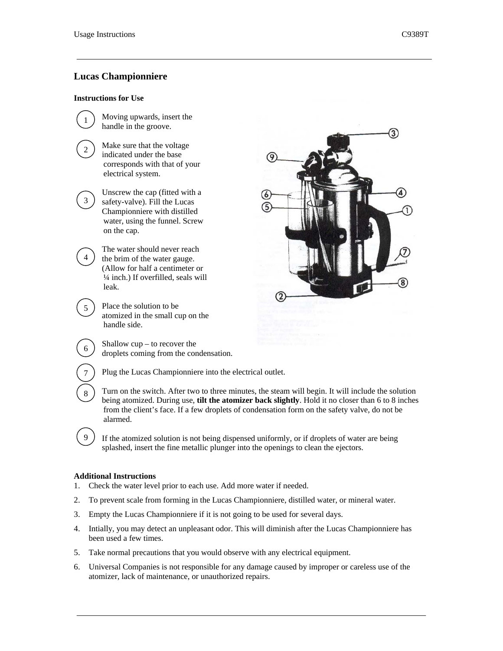# **Lucas Championniere**

#### **Instructions for Use**

1

2

3

4

5

6

7

8

9

Moving upwards, insert the handle in the groove.

> Make sure that the voltage indicated under the base corresponds with that of your electrical system.

Unscrew the cap (fitted with a safety-valve). Fill the Lucas Championniere with distilled water, using the funnel. Screw on the cap.

The water should never reach the brim of the water gauge. (Allow for half a centimeter or ¼ inch.) If overfilled, seals will leak.

Place the solution to be atomized in the small cup on the handle side.

Shallow cup – to recover the droplets coming from the condensation.

Plug the Lucas Championniere into the electrical outlet.

Turn on the switch. After two to three minutes, the steam will begin. It will include the solution being atomized. During use, **tilt the atomizer back slightly**. Hold it no closer than 6 to 8 inches from the client's face. If a few droplets of condensation form on the safety valve, do not be alarmed.

If the atomized solution is not being dispensed uniformly, or if droplets of water are being splashed, insert the fine metallic plunger into the openings to clean the ejectors.

# **Additional Instructions**

- 1. Check the water level prior to each use. Add more water if needed.
- 2. To prevent scale from forming in the Lucas Championniere, distilled water, or mineral water.
- 3. Empty the Lucas Championniere if it is not going to be used for several days.
- 4. Intially, you may detect an unpleasant odor. This will diminish after the Lucas Championniere has been used a few times.
- 5. Take normal precautions that you would observe with any electrical equipment.
- 6. Universal Companies is not responsible for any damage caused by improper or careless use of the atomizer, lack of maintenance, or unauthorized repairs.